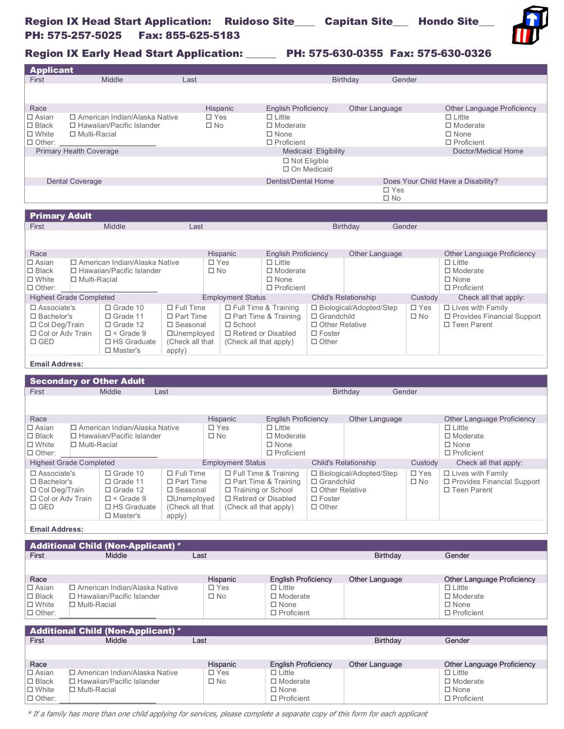

Region IX Early Head Start Application: \_\_\_\_\_\_ PH: 575-630-0355 Fax: 575-630-0326

| <b>Applicant</b>                           |                                                 |                                                                     |                                |                               |                                           |                                             |                                           |                               |                                     |                                                    |  |
|--------------------------------------------|-------------------------------------------------|---------------------------------------------------------------------|--------------------------------|-------------------------------|-------------------------------------------|---------------------------------------------|-------------------------------------------|-------------------------------|-------------------------------------|----------------------------------------------------|--|
| First                                      | Middle<br>Last                                  |                                                                     |                                |                               | <b>Birthday</b><br>Gender                 |                                             |                                           |                               |                                     |                                                    |  |
|                                            |                                                 |                                                                     |                                |                               |                                           |                                             |                                           |                               |                                     |                                                    |  |
|                                            |                                                 |                                                                     |                                |                               |                                           |                                             |                                           |                               |                                     |                                                    |  |
| Race                                       |                                                 |                                                                     |                                | Hispanic                      |                                           | <b>English Proficiency</b>                  |                                           | Other Language                |                                     | <b>Other Language Proficiency</b>                  |  |
| $\square$ Asian                            | □ American Indian/Alaska Native                 |                                                                     | $\square$ Yes                  |                               | $\Box$ Little                             |                                             |                                           |                               | $\Box$ Little                       |                                                    |  |
| $\Box$ Black                               | □ Hawaiian/Pacific Islander                     |                                                                     |                                | $\square$ No                  |                                           | □ Moderate                                  |                                           |                               |                                     | $\Box$ Moderate                                    |  |
| $\square$ White                            | $\Box$ Multi-Racial                             |                                                                     |                                |                               | $\Box$ None                               |                                             |                                           |                               | $\square$ None<br>$\Box$ Proficient |                                                    |  |
|                                            | $\Box$ Other:<br><b>Primary Health Coverage</b> |                                                                     |                                |                               |                                           | $\Box$ Proficient                           | <b>Medicaid Eligibility</b>               |                               |                                     | Doctor/Medical Home                                |  |
|                                            |                                                 |                                                                     |                                |                               |                                           | $\Box$ Not Eligible                         |                                           |                               |                                     |                                                    |  |
|                                            |                                                 |                                                                     |                                |                               |                                           |                                             | □ On Medicaid                             |                               |                                     |                                                    |  |
|                                            |                                                 |                                                                     |                                |                               |                                           |                                             |                                           |                               |                                     |                                                    |  |
|                                            | <b>Dental Coverage</b>                          |                                                                     |                                |                               |                                           | <b>Dentist/Dental Home</b>                  | Does Your Child Have a Disability?        |                               |                                     |                                                    |  |
|                                            |                                                 |                                                                     |                                |                               |                                           |                                             |                                           | $\square$ Yes<br>$\square$ No |                                     |                                                    |  |
|                                            |                                                 |                                                                     |                                |                               |                                           |                                             |                                           |                               |                                     |                                                    |  |
| <b>Primary Adult</b>                       |                                                 |                                                                     |                                |                               |                                           |                                             |                                           |                               |                                     |                                                    |  |
| First                                      |                                                 | Middle                                                              | Last                           |                               |                                           |                                             |                                           | Gender<br><b>Birthday</b>     |                                     |                                                    |  |
|                                            |                                                 |                                                                     |                                |                               |                                           |                                             |                                           |                               |                                     |                                                    |  |
|                                            |                                                 |                                                                     |                                |                               |                                           |                                             |                                           |                               |                                     |                                                    |  |
| Race                                       |                                                 |                                                                     |                                | Hispanic                      |                                           | <b>English Proficiency</b>                  |                                           | Other Language                |                                     | <b>Other Language Proficiency</b>                  |  |
| $\Box$ Asian                               |                                                 | □ American Indian/Alaska Native                                     |                                | $\square$ Yes                 |                                           | $\Box$ Little                               |                                           |                               |                                     | $\Box$ Little                                      |  |
| $\square$ Black                            |                                                 | □ Hawaiian/Pacific Islander                                         |                                | $\square$ No                  |                                           | $\Box$ Moderate                             |                                           |                               |                                     | $\Box$ Moderate                                    |  |
| $\Box$ White                               | □ Multi-Racial                                  |                                                                     |                                |                               |                                           | $\Box$ None                                 |                                           |                               |                                     | $\Box$ None                                        |  |
| $\Box$ Other:                              |                                                 |                                                                     |                                |                               |                                           | $\Box$ Proficient                           |                                           |                               |                                     | $\Box$ Proficient                                  |  |
|                                            | <b>Highest Grade Completed</b>                  |                                                                     |                                |                               | <b>Employment Status</b>                  |                                             | <b>Child's Relationship</b>               |                               | Custody                             | Check all that apply:                              |  |
| $\square$ Associate's                      |                                                 | $\Box$ Grade 10                                                     | $\Box$ Full Time               |                               | □ Full Time & Training                    |                                             |                                           | □ Biological/Adopted/Step     | $\Box$ Yes                          | □ Lives with Family                                |  |
| $\square$ Bachelor's                       |                                                 | □ Grade 11                                                          | $\Box$ Part Time               |                               |                                           | □ Part Time & Training                      | $\Box$ Grandchild                         |                               | $\square$ No                        | □ Provides Financial Support                       |  |
| $\Box$ Col Deg/Train<br>□ Col or Adv Train |                                                 | $\Box$ Grade 12<br>$\Box$ < Grade 9                                 | $\square$ Seasonal             |                               | $\square$ School<br>□ Retired or Disabled |                                             | $\Box$ Other Relative<br>$\square$ Foster |                               |                                     | □ Teen Parent                                      |  |
| $\square$ GED                              |                                                 | $\Box$ HS Graduate                                                  | □Unemployed<br>(Check all that |                               | (Check all that apply)                    |                                             | $\Box$ Other                              |                               |                                     |                                                    |  |
|                                            |                                                 | $\Box$ Master's                                                     | apply)                         |                               |                                           |                                             |                                           |                               |                                     |                                                    |  |
|                                            |                                                 |                                                                     |                                |                               |                                           |                                             |                                           |                               |                                     |                                                    |  |
| <b>Email Address:</b>                      |                                                 |                                                                     |                                |                               |                                           |                                             |                                           |                               |                                     |                                                    |  |
|                                            |                                                 |                                                                     |                                |                               |                                           |                                             |                                           |                               |                                     |                                                    |  |
|                                            |                                                 |                                                                     |                                |                               |                                           |                                             |                                           |                               |                                     |                                                    |  |
|                                            |                                                 | <b>Secondary or Other Adult</b>                                     |                                |                               |                                           |                                             |                                           |                               |                                     |                                                    |  |
| First                                      |                                                 | Middle                                                              | Last                           |                               |                                           |                                             |                                           | Gender<br><b>Birthday</b>     |                                     |                                                    |  |
|                                            |                                                 |                                                                     |                                |                               |                                           |                                             |                                           |                               |                                     |                                                    |  |
|                                            |                                                 |                                                                     |                                |                               |                                           |                                             |                                           |                               |                                     |                                                    |  |
| Race<br>$\Box$ Asian                       |                                                 | □ American Indian/Alaska Native                                     |                                | Hispanic<br>$\square$ Yes     |                                           | <b>English Proficiency</b><br>$\Box$ Little |                                           | Other Language                |                                     | <b>Other Language Proficiency</b><br>$\Box$ Little |  |
| $\Box$ Black                               |                                                 | □ Hawaiian/Pacific Islander                                         |                                | $\square$ No                  |                                           | $\Box$ Moderate                             |                                           |                               |                                     | $\Box$ Moderate                                    |  |
| $\square$ White                            | $\Box$ Multi-Racial                             |                                                                     |                                |                               |                                           | $\Box$ None                                 |                                           |                               |                                     | $\square$ None                                     |  |
| $\Box$ Other:                              |                                                 |                                                                     |                                |                               |                                           | $\Box$ Proficient                           |                                           |                               |                                     | $\Box$ Proficient                                  |  |
|                                            | <b>Highest Grade Completed</b>                  |                                                                     |                                |                               | <b>Employment Status</b>                  |                                             | <b>Child's Relationship</b>               |                               | Custody                             | Check all that apply:                              |  |
| $\square$ Associate's                      |                                                 | $\Box$ Grade 10                                                     | $\Box$ Full Time               |                               |                                           | $\Box$ Full Time & Training                 |                                           | □ Biological/Adopted/Step     | $\Box$ Yes                          | $\Box$ Lives with Family                           |  |
| □ Bachelor's                               |                                                 | □ Grade 11                                                          | □ Part Time                    |                               |                                           | $\Box$ Part Time & Training                 | $\Box$ Grandchild                         |                               | $\square$ No                        | □ Provides Financial Support                       |  |
| $\Box$ Col Deg/Train                       |                                                 | $\Box$ Grade 12                                                     | $\square$ Seasonal             |                               | $\Box$ Training or School                 |                                             | □ Other Relative                          |                               |                                     | $\Box$ Teen Parent                                 |  |
| □ Col or Adv Train                         |                                                 | $\square$ < Grade 9                                                 | □Unemployed                    |                               | □ Retired or Disabled                     |                                             | $\Box$ Foster                             |                               |                                     |                                                    |  |
| $\square$ GED                              |                                                 | □ HS Graduate                                                       | (Check all that                |                               | (Check all that apply)                    |                                             | $\Box$ Other                              |                               |                                     |                                                    |  |
|                                            |                                                 | $\Box$ Master's                                                     | apply)                         |                               |                                           |                                             |                                           |                               |                                     |                                                    |  |
| <b>Email Address:</b>                      |                                                 |                                                                     |                                |                               |                                           |                                             |                                           |                               |                                     |                                                    |  |
|                                            |                                                 |                                                                     |                                |                               |                                           |                                             |                                           |                               |                                     |                                                    |  |
|                                            |                                                 | <b>Additional Child (Non-Applicant)*</b>                            |                                |                               |                                           |                                             |                                           |                               |                                     |                                                    |  |
| First                                      |                                                 | Middle                                                              | Last                           |                               |                                           |                                             |                                           | Birthday                      |                                     | Gender                                             |  |
|                                            |                                                 |                                                                     |                                |                               |                                           |                                             |                                           |                               |                                     |                                                    |  |
| Race                                       |                                                 |                                                                     |                                | Hispanic                      |                                           | <b>English Proficiency</b>                  |                                           | Other Language                |                                     | Other Language Proficiency                         |  |
| $\square$ Asian                            |                                                 | □ American Indian/Alaska Native                                     |                                | $\square$ Yes                 |                                           | $\Box$ Little                               |                                           |                               |                                     | $\Box$ Little                                      |  |
| $\Box$ Black                               |                                                 | $\Box$ Hawaiian/Pacific Islander                                    |                                | $\square$ No                  |                                           | $\Box$ Moderate                             |                                           |                               |                                     | $\Box$ Moderate                                    |  |
| $\square$ White                            | $\Box$ Multi-Racial                             |                                                                     |                                |                               |                                           | $\square$ None                              |                                           |                               |                                     | $\Box$ None                                        |  |
| $\Box$ Other:                              |                                                 |                                                                     |                                |                               |                                           | $\Box$ Proficient                           |                                           |                               |                                     | $\Box$ Proficient                                  |  |
|                                            |                                                 |                                                                     |                                |                               |                                           |                                             |                                           |                               |                                     |                                                    |  |
|                                            |                                                 | <b>Additional Child (Non-Applicant)*</b>                            |                                |                               |                                           |                                             |                                           |                               |                                     |                                                    |  |
| First                                      |                                                 | Middle                                                              | Last                           |                               |                                           |                                             |                                           | Birthday                      |                                     | Gender                                             |  |
|                                            |                                                 |                                                                     |                                |                               |                                           |                                             |                                           |                               |                                     |                                                    |  |
| Race                                       |                                                 |                                                                     |                                | Hispanic                      |                                           | <b>English Proficiency</b>                  |                                           | Other Language                |                                     | Other Language Proficiency                         |  |
| $\square$ Asian<br>$\square$ Black         |                                                 | □ American Indian/Alaska Native<br>$\Box$ Hawaiian/Pacific Islander |                                | $\square$ Yes<br>$\square$ No |                                           | $\Box$ Little<br>$\Box$ Moderate            |                                           |                               |                                     | $\Box$ Little<br>$\Box$ Moderate                   |  |

\* If a family has more than one child applying for services, please complete a separate copy of this form for each applicant

 $\square$  Proficient

 $\square$  Proficient

 $\Box$  Other: